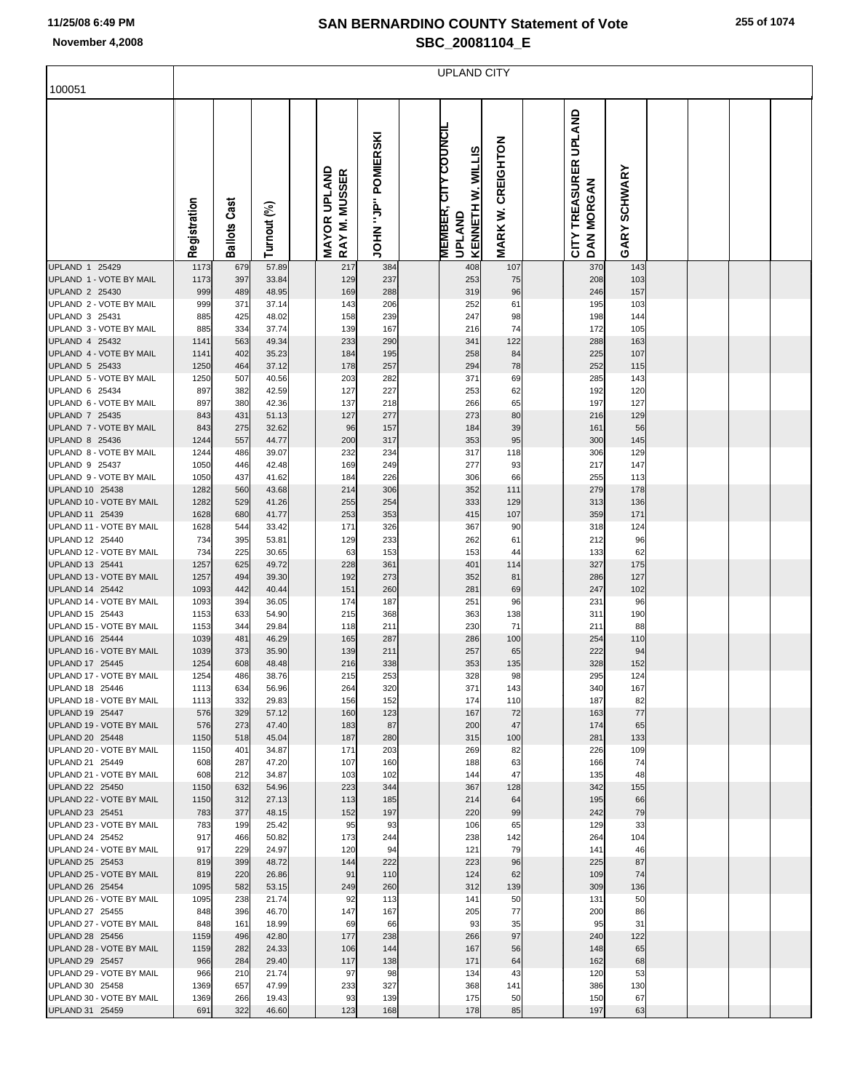| 100051                                           |              |                        |                |                               |                               | <b>UPLAND CITY</b>                                                |                      |                                     |                        |  |  |
|--------------------------------------------------|--------------|------------------------|----------------|-------------------------------|-------------------------------|-------------------------------------------------------------------|----------------------|-------------------------------------|------------------------|--|--|
|                                                  |              |                        |                |                               |                               |                                                                   |                      |                                     |                        |  |  |
|                                                  | Registration | Cast<br><b>Ballots</b> | E<br>Turnout   | MAYOR UPLAND<br>RAY M. MUSSER | POMIERSKI<br>ים.<br>ה<br>NHOL | <b>MEMBER, CITY COUNCIL</b><br>KENNETH W. WILLIS<br><b>UPLAND</b> | CREIGHTON<br>MARK W. | CITY TREASURER UPLAND<br>DAN MORGAN | <b>SCHWARY</b><br>GARY |  |  |
| UPLAND 1 25429<br>UPLAND 1 - VOTE BY MAIL        | 1173         | 679                    | 57.89          | 217                           | 384                           | 408<br>253                                                        | 107                  | 370                                 | 143<br>103             |  |  |
| UPLAND 2 25430                                   | 1173<br>999  | 397<br>489             | 33.84<br>48.95 | 129<br>169                    | 237<br>288                    | 319                                                               | 75<br>96             | 208<br>246                          | 157                    |  |  |
| UPLAND 2 - VOTE BY MAIL                          | 999          | 371                    | 37.14          | 143                           | 206                           | 252                                                               | 61                   | 195                                 | 103                    |  |  |
| UPLAND 3 25431<br>UPLAND 3 - VOTE BY MAIL        | 885          | 425                    | 48.02<br>37.74 | 158                           | 239                           | 247                                                               | 98<br>74             | 198                                 | 144<br>105             |  |  |
| UPLAND 4 25432                                   | 885<br>1141  | 334<br>563             | 49.34          | 139<br>233                    | 167<br>290                    | 216<br>341                                                        | 122                  | 172<br>288                          | 163                    |  |  |
| UPLAND 4 - VOTE BY MAIL                          | 1141         | 402                    | 35.23          | 184                           | 195                           | 258                                                               | 84                   | 225                                 | 107                    |  |  |
| UPLAND 5 25433                                   | 1250         | 464                    | 37.12          | 178                           | 257                           | 294                                                               | 78                   | 252                                 | 115                    |  |  |
| UPLAND 5 - VOTE BY MAIL<br>UPLAND 6 25434        | 1250<br>897  | 507<br>382             | 40.56<br>42.59 | 203<br>127                    | 282<br>227                    | 371<br>253                                                        | 69<br>62             | 285<br>192                          | 143<br>120             |  |  |
| UPLAND 6 - VOTE BY MAIL                          | 897          | 380                    | 42.36          | 137                           | 218                           | 266                                                               | 65                   | 197                                 | 127                    |  |  |
| <b>UPLAND 7 25435</b>                            | 843          | 431                    | 51.13          | 127                           | 277                           | 273                                                               | 80                   | 216                                 | 129                    |  |  |
| UPLAND 7 - VOTE BY MAIL                          | 843          | 275                    | 32.62          | 96                            | 157                           | 184                                                               | 39                   | 161                                 | 56                     |  |  |
| <b>UPLAND 8 25436</b><br>UPLAND 8 - VOTE BY MAIL | 1244<br>1244 | 557<br>486             | 44.77<br>39.07 | 200<br>232                    | 317<br>234                    | 353<br>317                                                        | 95<br>118            | 300<br>306                          | 145<br>129             |  |  |
| UPLAND 9 25437                                   | 1050         | 446                    | 42.48          | 169                           | 249                           | 277                                                               | 93                   | 217                                 | 147                    |  |  |
| UPLAND 9 - VOTE BY MAIL                          | 1050         | 437                    | 41.62          | 184                           | 226                           | 306                                                               | 66                   | 255                                 | 113                    |  |  |
| UPLAND 10 25438<br>UPLAND 10 - VOTE BY MAIL      | 1282<br>1282 | 560<br>529             | 43.68          | 214                           | 306                           | 352<br>333                                                        | 111                  | 279<br>313                          | 178<br>136             |  |  |
| UPLAND 11 25439                                  | 1628         | 680                    | 41.26<br>41.77 | 255<br>253                    | 254<br>353                    | 415                                                               | 129<br>107           | 359                                 | 171                    |  |  |
| UPLAND 11 - VOTE BY MAIL                         | 1628         | 544                    | 33.42          | 171                           | 326                           | 367                                                               | 90                   | 318                                 | 124                    |  |  |
| UPLAND 12 25440                                  | 734          | 395                    | 53.81          | 129                           | 233                           | 262                                                               | 61                   | 212                                 | 96                     |  |  |
| UPLAND 12 - VOTE BY MAIL<br>UPLAND 13 25441      | 734<br>1257  | 225<br>625             | 30.65<br>49.72 | 63<br>228                     | 153<br>361                    | 153<br>401                                                        | 44<br>114            | 133<br>327                          | 62<br>175              |  |  |
| UPLAND 13 - VOTE BY MAIL                         | 1257         | 494                    | 39.30          | 192                           | 273                           | 352                                                               | 81                   | 286                                 | 127                    |  |  |
| UPLAND 14 25442                                  | 1093         | 442                    | 40.44          | 151                           | 260                           | 281                                                               | 69                   | 247                                 | 102                    |  |  |
| UPLAND 14 - VOTE BY MAIL<br>UPLAND 15 25443      | 1093<br>1153 | 394<br>633             | 36.05<br>54.90 | 174<br>215                    | 187<br>368                    | 251<br>363                                                        | 96<br>138            | 231<br>311                          | 96<br>190              |  |  |
| UPLAND 15 - VOTE BY MAIL                         | 1153         | 344                    | 29.84          | 118                           | 211                           | 230                                                               | 71                   | 211                                 | 88                     |  |  |
| UPLAND 16 25444                                  | 1039         | 481                    | 46.29          | 165                           | 287                           | 286                                                               | 100                  | 254                                 | 110                    |  |  |
| UPLAND 16 - VOTE BY MAIL                         | 1039         | 373                    | 35.90          | 139                           | 211                           | 257                                                               | 65                   | 222                                 | 94                     |  |  |
| UPLAND 17 25445<br>UPLAND 17 - VOTE BY MAIL      | 1254<br>1254 | 608<br>486             | 48.48<br>38.76 | 216<br>215                    | 338<br>253                    | 353<br>328                                                        | 135<br>98            | 328<br>295                          | 152<br>124             |  |  |
| UPLAND 18 25446                                  | 1113         | 634                    | 56.96          | 264                           | 320                           | 371                                                               | 143                  | 340                                 | 167                    |  |  |
| UPLAND 18 - VOTE BY MAIL                         | 1113         | 332                    | 29.83          | 156                           | 152                           | 174                                                               | 110                  | 187                                 | 82                     |  |  |
| UPLAND 19 25447                                  | 576          | 329                    | 57.12          | 160                           | 123                           | 167                                                               | 72                   | 163                                 | 77                     |  |  |
| UPLAND 19 - VOTE BY MAIL<br>UPLAND 20 25448      | 576<br>1150  | 273<br>518             | 47.40<br>45.04 | 183<br>187                    | 87<br>280                     | 200<br>315                                                        | 47<br>100            | 174<br>281                          | 65<br>133              |  |  |
| UPLAND 20 - VOTE BY MAIL                         | 1150         | 401                    | 34.87          | 171                           | 203                           | 269                                                               | 82                   | 226                                 | 109                    |  |  |
| UPLAND 21 25449                                  | 608          | 287                    | 47.20          | 107                           | 160                           | 188                                                               | 63                   | 166                                 | 74                     |  |  |
| UPLAND 21 - VOTE BY MAIL<br>UPLAND 22 25450      | 608<br>1150  | 212<br>632             | 34.87<br>54.96 | 103<br>223                    | 102<br>344                    | 144<br>367                                                        | 47<br>128            | 135<br>342                          | 48<br>155              |  |  |
| UPLAND 22 - VOTE BY MAIL                         | 1150         | 312                    | 27.13          | 113                           | 185                           | 214                                                               | 64                   | 195                                 | 66                     |  |  |
| UPLAND 23 25451                                  | 783          | 377                    | 48.15          | 152                           | 197                           | 220                                                               | 99                   | 242                                 | 79                     |  |  |
| UPLAND 23 - VOTE BY MAIL                         | 783          | 199                    | 25.42          | 95                            | 93                            | 106                                                               | 65                   | 129                                 | 33                     |  |  |
| UPLAND 24 25452<br>UPLAND 24 - VOTE BY MAIL      | 917<br>917   | 466<br>229             | 50.82<br>24.97 | 173<br>120                    | 244<br>94                     | 238<br>121                                                        | 142<br>79            | 264<br>141                          | 104<br>46              |  |  |
| UPLAND 25 25453                                  | 819          | 399                    | 48.72          | 144                           | 222                           | 223                                                               | 96                   | 225                                 | 87                     |  |  |
| UPLAND 25 - VOTE BY MAIL                         | 819          | 220                    | 26.86          | 91                            | 110                           | 124                                                               | 62                   | 109                                 | 74                     |  |  |
| UPLAND 26 25454                                  | 1095         | 582                    | 53.15          | 249                           | 260                           | 312                                                               | 139                  | 309                                 | 136                    |  |  |
| UPLAND 26 - VOTE BY MAIL<br>UPLAND 27 25455      | 1095<br>848  | 238<br>396             | 21.74<br>46.70 | 92<br>147                     | 113<br>167                    | 141<br>205                                                        | 50<br>77             | 131<br>200                          | 50<br>86               |  |  |
| UPLAND 27 - VOTE BY MAIL                         | 848          | 161                    | 18.99          | 69                            | 66                            | 93                                                                | 35                   | 95                                  | 31                     |  |  |
| UPLAND 28 25456                                  | 1159         | 496                    | 42.80          | 177                           | 238                           | 266                                                               | 97                   | 240                                 | 122                    |  |  |
| UPLAND 28 - VOTE BY MAIL<br>UPLAND 29 25457      | 1159<br>966  | 282<br>284             | 24.33<br>29.40 | 106<br>117                    | 144                           | 167<br>171                                                        | 56                   | 148<br>162                          | 65                     |  |  |
| UPLAND 29 - VOTE BY MAIL                         | 966          | 210                    | 21.74          | 97                            | 138<br>98                     | 134                                                               | 64<br>43             | 120                                 | 68<br>53               |  |  |
| UPLAND 30 25458                                  | 1369         | 657                    | 47.99          | 233                           | 327                           | 368                                                               | 141                  | 386                                 | 130                    |  |  |
| UPLAND 30 - VOTE BY MAIL                         | 1369         | 266                    | 19.43          | 93                            | 139                           | 175                                                               | 50                   | 150                                 | 67                     |  |  |
| UPLAND 31 25459                                  | 691          | 322                    | 46.60          | 123                           | 168                           | 178                                                               | 85                   | 197                                 | 63                     |  |  |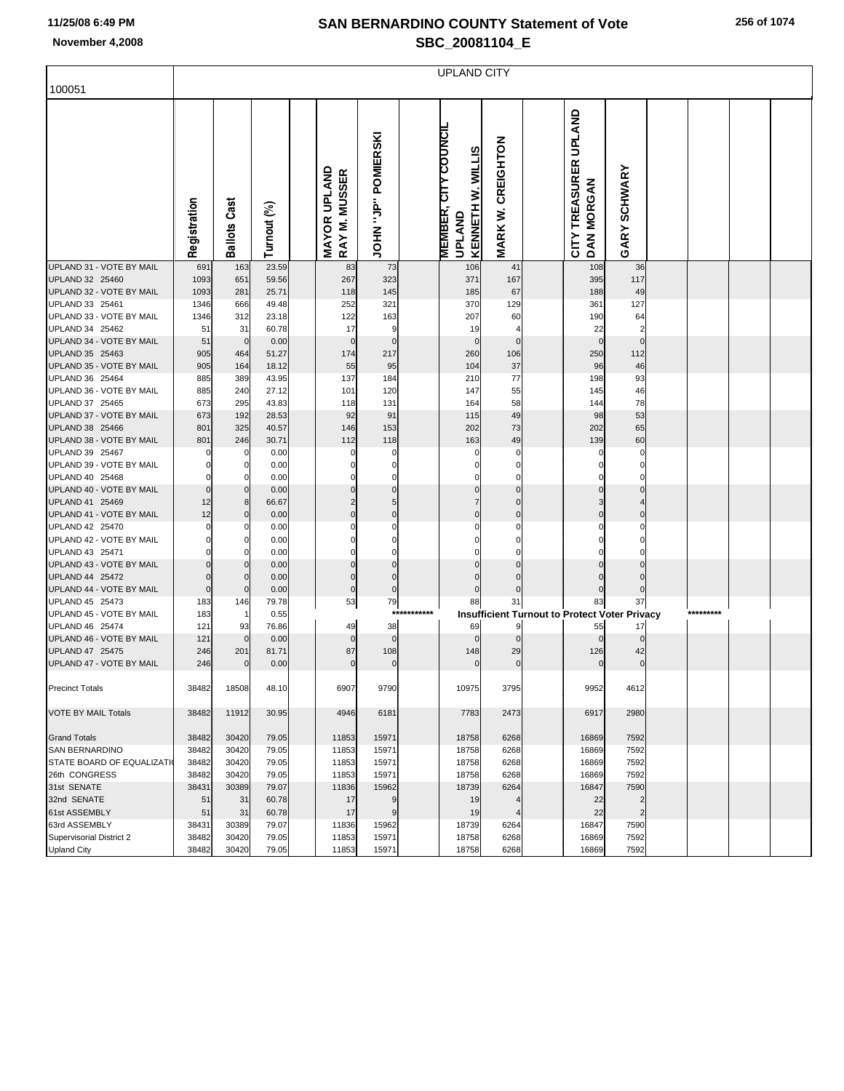|                                             |              |                     |                |                               |                     |             | <b>UPLAND CITY</b>                                                |                               |                                                      |                        |           |  |
|---------------------------------------------|--------------|---------------------|----------------|-------------------------------|---------------------|-------------|-------------------------------------------------------------------|-------------------------------|------------------------------------------------------|------------------------|-----------|--|
| 100051                                      |              |                     |                |                               |                     |             |                                                                   |                               |                                                      |                        |           |  |
|                                             | Registration | <b>Ballots Cast</b> | Turnout (%)    | MAYOR UPLAND<br>RAY M. MUSSER | JOHN "JP" POMIERSKI |             | <b>MEMBER, CITY COUNCIL</b><br>KENNETH W. WILLIS<br><b>UPLAND</b> | CREIGHTON<br>MARK W.          | CITY TREASURER UPLAND<br>DAN MORGAN                  | <b>GARY SCHWARY</b>    |           |  |
| UPLAND 31 - VOTE BY MAIL                    | 691          | 163                 | 23.59          | 83                            | 73                  |             | 106                                                               | 41                            | 108                                                  | 36                     |           |  |
| UPLAND 32 25460                             | 1093         | 651                 | 59.56          | 267                           | 323                 |             | 371                                                               | 167                           | 395                                                  | 117                    |           |  |
| UPLAND 32 - VOTE BY MAIL                    | 1093         | 281                 | 25.71          | 118                           | 145                 |             | 185                                                               | 67                            | 188                                                  | 49                     |           |  |
| UPLAND 33 25461<br>UPLAND 33 - VOTE BY MAIL | 1346<br>1346 | 666<br>312          | 49.48<br>23.18 | 252<br>122                    | 321<br>163          |             | 370<br>207                                                        | 129<br>60                     | 361<br>190                                           | 127<br>64              |           |  |
| UPLAND 34 25462                             | 51           | 31                  | 60.78          | 17                            | 9                   |             | 19                                                                | $\overline{4}$                | 22                                                   | $\overline{2}$         |           |  |
| UPLAND 34 - VOTE BY MAIL                    | 51           | $\mathbf 0$         | 0.00           | $\mathbf 0$                   | $\mathbf 0$         |             | $\Omega$                                                          | $\Omega$                      | $\mathbf 0$                                          | $\mathbf{0}$           |           |  |
| UPLAND 35 25463                             | 905          | 464                 | 51.27          | 174                           | 217                 |             | 260                                                               | 106                           | 250                                                  | 112                    |           |  |
| UPLAND 35 - VOTE BY MAIL                    | 905          | 164                 | 18.12          | 55                            | 95                  |             | 104                                                               | 37                            | 96                                                   | 46                     |           |  |
| UPLAND 36 25464                             | 885          | 389                 | 43.95          | 137                           | 184                 |             | 210                                                               | 77                            | 198                                                  | 93                     |           |  |
| UPLAND 36 - VOTE BY MAIL                    | 885          | 240                 | 27.12          | 101                           | 120                 |             | 147                                                               | 55                            | 145                                                  | 46                     |           |  |
| UPLAND 37 25465                             | 673          | 295                 | 43.83          | 118                           | 131                 |             | 164                                                               | 58                            | 144                                                  | 78                     |           |  |
| UPLAND 37 - VOTE BY MAIL                    | 673          | 192                 | 28.53          | 92                            | 91                  |             | 115                                                               | 49                            | 98                                                   | 53                     |           |  |
| UPLAND 38 25466                             | 801          | 325                 | 40.57          | 146                           | 153                 |             | 202                                                               | 73                            | 202                                                  | 65                     |           |  |
| UPLAND 38 - VOTE BY MAIL                    | 801          | 246                 | 30.71          | 112                           | 118                 |             | 163                                                               | 49                            | 139                                                  | 60                     |           |  |
| UPLAND 39 25467                             |              | 0                   | 0.00           |                               | 0                   |             | 0                                                                 | $\Omega$                      | C                                                    | $\Omega$               |           |  |
| UPLAND 39 - VOTE BY MAIL                    |              | 0<br>$\Omega$       | 0.00           |                               | 0<br>$\mathbf 0$    |             | O<br>$\Omega$                                                     | 0<br>$\Omega$                 |                                                      |                        |           |  |
| UPLAND 40 25468<br>UPLAND 40 - VOTE BY MAIL | O            | $\mathbf 0$         | 0.00<br>0.00   | 0                             | $\pmb{0}$           |             | $\Omega$                                                          | $\Omega$                      | $\Omega$                                             | $\mathbf 0$            |           |  |
| UPLAND 41 25469                             | 12           | 8                   | 66.67          | 2                             | 5                   |             | 7                                                                 | $\Omega$                      |                                                      |                        |           |  |
| UPLAND 41 - VOTE BY MAIL                    | 12           | $\mathbf 0$         | 0.00           | $\overline{0}$                | $\pmb{0}$           |             | $\Omega$                                                          | $\Omega$                      | $\Omega$                                             | $\Omega$               |           |  |
| UPLAND 42 25470                             |              | 0                   | 0.00           |                               | 0                   |             | 0                                                                 | C                             |                                                      |                        |           |  |
| UPLAND 42 - VOTE BY MAIL                    |              | $\Omega$            | 0.00           |                               | $\pmb{0}$           |             | 0                                                                 | 0                             |                                                      |                        |           |  |
| UPLAND 43 25471                             |              | $\Omega$            | 0.00           | O                             | $\mathbf 0$         |             | $\Omega$                                                          | C                             |                                                      |                        |           |  |
| UPLAND 43 - VOTE BY MAIL                    |              | $\mathbf 0$         | 0.00           | 0                             | $\pmb{0}$           |             | $\Omega$                                                          | 0                             |                                                      |                        |           |  |
| UPLAND 44 25472                             |              | $\mathbf 0$         | 0.00           | $\mathbf 0$                   | $\mathbf 0$         |             | $\Omega$                                                          | $\Omega$                      |                                                      |                        |           |  |
| UPLAND 44 - VOTE BY MAIL                    | O            | $\mathbf 0$         | 0.00           | $\overline{0}$                | $\pmb{0}$           |             | $\Omega$                                                          | $\Omega$                      |                                                      | $\mathbf 0$            |           |  |
| UPLAND 45 25473                             | 183          | 146                 | 79.78          | 53                            | 79                  |             | 88                                                                | 31                            | 83                                                   | 37                     |           |  |
| UPLAND 45 - VOTE BY MAIL                    | 183          | $\mathbf{1}$        | 0.55           |                               |                     | *********** |                                                                   |                               | <b>Insufficient Turnout to Protect Voter Privacy</b> |                        | ********* |  |
| UPLAND 46 25474<br>UPLAND 46 - VOTE BY MAIL | 121<br>121   | 93<br>$\mathbf 0$   | 76.86<br>0.00  | 49<br>0                       | 38<br>$\mathbf 0$   |             | 69<br>$\Omega$                                                    | 9<br>$\mathbf 0$              | 55<br>$\Omega$                                       | 17<br>$\mathbf 0$      |           |  |
| UPLAND 47 25475                             | 246          | 201                 | 81.71          | 87                            | 108                 |             | 148                                                               | 29                            | 126                                                  | 42                     |           |  |
| UPLAND 47 - VOTE BY MAIL                    | 246          | $\mathbf 0$         | 0.00           | $\Omega$                      | $\pmb{0}$           |             | $\Omega$                                                          | $\mathbf 0$                   | $\Omega$                                             | $\mathbf{0}$           |           |  |
| <b>Precinct Totals</b>                      | 38482        | 18508               | 48.10          | 6907                          | 9790                |             | 10975                                                             | 3795                          | 9952                                                 | 4612                   |           |  |
| <b>VOTE BY MAIL Totals</b>                  | 38482        | 11912               | 30.95          | 4946                          | 6181                |             | 7783                                                              | 2473                          | 6917                                                 | 2980                   |           |  |
| <b>Grand Totals</b>                         | 38482        | 30420               | 79.05          | 11853                         | 15971               |             | 18758                                                             | 6268                          | 16869                                                | 7592                   |           |  |
| <b>SAN BERNARDINO</b>                       | 38482        | 30420               | 79.05          | 11853                         | 15971               |             | 18758                                                             | 6268                          | 16869                                                | 7592                   |           |  |
| STATE BOARD OF EQUALIZATI                   | 38482        | 30420               | 79.05          | 11853                         | 15971               |             | 18758                                                             | 6268                          | 16869                                                | 7592                   |           |  |
| 26th CONGRESS                               | 38482        | 30420               | 79.05          | 11853                         | 15971               |             | 18758                                                             | 6268                          | 16869                                                | 7592                   |           |  |
| 31st SENATE                                 | 38431        | 30389               | 79.07          | 11836                         | 15962               |             | 18739                                                             | 6264                          | 16847                                                | 7590                   |           |  |
| 32nd SENATE                                 | 51           | 31                  | 60.78          | 17                            | 9                   |             | 19                                                                | 4                             | 22                                                   | $\overline{2}$         |           |  |
| 61st ASSEMBLY<br>63rd ASSEMBLY              | 51<br>38431  | 31<br>30389         | 60.78<br>79.07 | 17                            | 9<br>15962          |             | 19<br>18739                                                       | $\boldsymbol{\Delta}$<br>6264 | 22<br>16847                                          | $\overline{2}$<br>7590 |           |  |
| Supervisorial District 2                    | 38482        | 30420               | 79.05          | 11836<br>11853                | 15971               |             | 18758                                                             | 6268                          | 16869                                                | 7592                   |           |  |
| <b>Upland City</b>                          | 38482        | 30420               | 79.05          | 11853                         | 15971               |             | 18758                                                             | 6268                          | 16869                                                | 7592                   |           |  |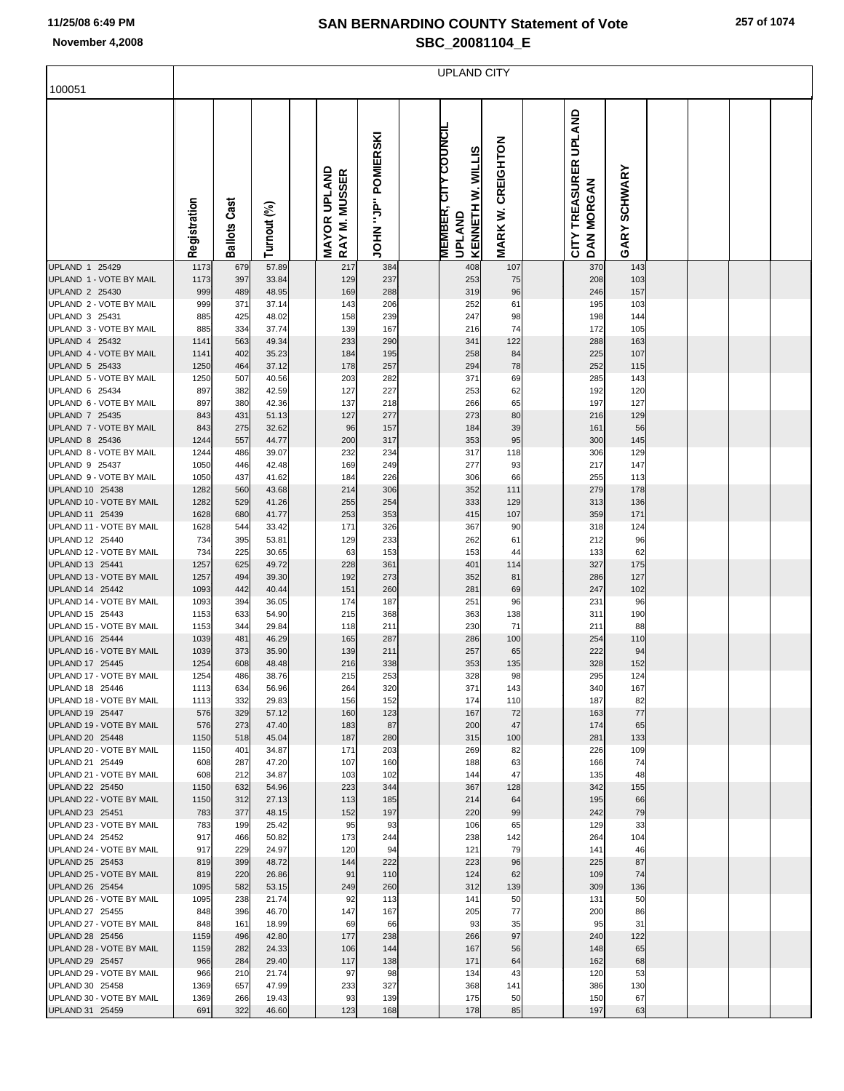r

| 100051                                           |              |              |                |                               |                                                  | <b>UPLAND CITY</b>                                                       |                      |                                            |                        |  |  |
|--------------------------------------------------|--------------|--------------|----------------|-------------------------------|--------------------------------------------------|--------------------------------------------------------------------------|----------------------|--------------------------------------------|------------------------|--|--|
|                                                  |              |              |                |                               |                                                  |                                                                          |                      |                                            |                        |  |  |
|                                                  | Registration | Ballots Cast | E<br>Turnout   | MAYOR UPLAND<br>RAY M. MUSSER | <b>POMIERSKI</b><br>׆֧֛֧ <sup>֚</sup><br>MS<br>S | <b>MEMBER, CITY COUNCIL</b><br><b>KENNETH W. WILLIS</b><br><b>UPLAND</b> | CREIGHTON<br>MARK W. | CITY TREASURER UPLAND<br><b>DAN MORGAN</b> | <b>SCHWARY</b><br>GARY |  |  |
| <b>UPLAND 1 25429</b><br>UPLAND 1 - VOTE BY MAIL | 1173         | 679          | 57.89          | 217                           | 384                                              | 408                                                                      | 107                  | 370                                        | 143                    |  |  |
| UPLAND 2 25430                                   | 1173<br>999  | 397<br>489   | 33.84<br>48.95 | 129<br>169                    | 237<br>288                                       | 253<br>319                                                               | 75<br>96             | 208<br>246                                 | 103<br>157             |  |  |
| UPLAND 2 - VOTE BY MAIL                          | 999          | 371          | 37.14          | 143                           | 206                                              | 252                                                                      | 61                   | 195                                        | 103                    |  |  |
| UPLAND 3 25431                                   | 885          | 425          | 48.02          | 158                           | 239                                              | 247                                                                      | 98                   | 198                                        | 144                    |  |  |
| UPLAND 3 - VOTE BY MAIL<br><b>UPLAND 4 25432</b> | 885<br>1141  | 334<br>563   | 37.74<br>49.34 | 139<br>233                    | 167<br>290                                       | 216<br>341                                                               | 74<br>122            | 172<br>288                                 | 105<br>163             |  |  |
| UPLAND 4 - VOTE BY MAIL                          | 1141         | 402          | 35.23          | 184                           | 195                                              | 258                                                                      | 84                   | 225                                        | 107                    |  |  |
| UPLAND 5 25433                                   | 1250         | 464          | 37.12          | 178                           | 257                                              | 294                                                                      | 78                   | 252                                        | 115                    |  |  |
| UPLAND 5 - VOTE BY MAIL                          | 1250         | 507          | 40.56          | 203                           | 282                                              | 371                                                                      | 69                   | 285                                        | 143                    |  |  |
| UPLAND 6 25434<br>UPLAND 6 - VOTE BY MAIL        | 897          | 382          | 42.59          | 127                           | 227                                              | 253                                                                      | 62                   | 192                                        | 120                    |  |  |
| UPLAND 7 25435                                   | 897<br>843   | 380<br>431   | 42.36<br>51.13 | 137<br>127                    | 218<br>277                                       | 266<br>273                                                               | 65<br>80             | 197<br>216                                 | 127<br>129             |  |  |
| UPLAND 7 - VOTE BY MAIL                          | 843          | 275          | 32.62          | 96                            | 157                                              | 184                                                                      | 39                   | 161                                        | 56                     |  |  |
| UPLAND 8 25436                                   | 1244         | 557          | 44.77          | 200                           | 317                                              | 353                                                                      | 95                   | 300                                        | 145                    |  |  |
| UPLAND 8 - VOTE BY MAIL                          | 1244         | 486          | 39.07          | 232                           | 234                                              | 317                                                                      | 118                  | 306                                        | 129                    |  |  |
| UPLAND 9 25437<br>UPLAND 9 - VOTE BY MAIL        | 1050<br>1050 | 446<br>437   | 42.48<br>41.62 | 169<br>184                    | 249<br>226                                       | 277<br>306                                                               | 93<br>66             | 217<br>255                                 | 147<br>113             |  |  |
| UPLAND 10 25438                                  | 1282         | 560          | 43.68          | 214                           | 306                                              | 352                                                                      | 111                  | 279                                        | 178                    |  |  |
| UPLAND 10 - VOTE BY MAIL                         | 1282         | 529          | 41.26          | 255                           | 254                                              | 333                                                                      | 129                  | 313                                        | 136                    |  |  |
| UPLAND 11 25439<br>UPLAND 11 - VOTE BY MAIL      | 1628         | 680          | 41.77          | 253                           | 353                                              | 415                                                                      | 107                  | 359                                        | 171                    |  |  |
| UPLAND 12 25440                                  | 1628<br>734  | 544<br>395   | 33.42<br>53.81 | 171<br>129                    | 326<br>233                                       | 367<br>262                                                               | 90<br>61             | 318<br>212                                 | 124<br>96              |  |  |
| UPLAND 12 - VOTE BY MAIL                         | 734          | 225          | 30.65          | 63                            | 153                                              | 153                                                                      | 44                   | 133                                        | 62                     |  |  |
| UPLAND 13 25441                                  | 1257         | 625          | 49.72          | 228                           | 361                                              | 401                                                                      | 114                  | 327                                        | 175                    |  |  |
| UPLAND 13 - VOTE BY MAIL<br>UPLAND 14 25442      | 1257<br>1093 | 494<br>442   | 39.30<br>40.44 | 192<br>151                    | 273<br>260                                       | 352<br>281                                                               | 81<br>69             | 286<br>247                                 | 127<br>102             |  |  |
| UPLAND 14 - VOTE BY MAIL                         | 1093         | 394          | 36.05          | 174                           | 187                                              | 251                                                                      | 96                   | 231                                        | 96                     |  |  |
| UPLAND 15 25443                                  | 1153         | 633          | 54.90          | 215                           | 368                                              | 363                                                                      | 138                  | 311                                        | 190                    |  |  |
| UPLAND 15 - VOTE BY MAIL                         | 1153         | 344          | 29.84          | 118                           | 211                                              | 230                                                                      | 71                   | 211                                        | 88                     |  |  |
| UPLAND 16 25444<br>UPLAND 16 - VOTE BY MAIL      | 1039<br>1039 | 481<br>373   | 46.29<br>35.90 | 165<br>139                    | 287<br>211                                       | 286<br>257                                                               | 100<br>65            | 254<br>222                                 | 110<br>94              |  |  |
| <b>UPLAND 17 25445</b>                           | 1254         | 608          | 48.48          | 216                           | 338                                              | 353                                                                      | 135                  | 328                                        | 152                    |  |  |
| UPLAND 17 - VOTE BY MAIL                         | 1254         | 486          | 38.76          | 215                           | 253                                              | 328                                                                      | 98                   | 295                                        | 124                    |  |  |
| UPLAND 18 25446                                  | 1113         | 634          | 56.96          | 264                           | 320                                              | 371                                                                      | 143                  | 340                                        | 167                    |  |  |
| UPLAND 18 - VOTE BY MAIL<br>UPLAND 19 25447      | 1113<br>576  | 332<br>329   | 29.83<br>57.12 | 156<br>160                    | 152<br>123                                       | 174<br>167                                                               | 110<br>72            | 187<br>163                                 | 82<br>77               |  |  |
| UPLAND 19 - VOTE BY MAIL                         | 576          | 273          | 47.40          | 183                           | 87                                               | 200                                                                      | 47                   | 174                                        | 65                     |  |  |
| UPLAND 20 25448                                  | 1150         | 518          | 45.04          | 187                           | 280                                              | 315                                                                      | 100                  | 281                                        | 133                    |  |  |
| UPLAND 20 - VOTE BY MAIL                         | 1150         | 401          | 34.87          | 171                           | 203                                              | 269                                                                      | 82                   | 226                                        | 109                    |  |  |
| UPLAND 21 25449<br>UPLAND 21 - VOTE BY MAIL      | 608<br>608   | 287<br>212   | 47.20<br>34.87 | 107<br>103                    | 160<br>102                                       | 188<br>144                                                               | 63<br>47             | 166<br>135                                 | 74<br>48               |  |  |
| UPLAND 22 25450                                  | 1150         | 632          | 54.96          | 223                           | 344                                              | 367                                                                      | 128                  | 342                                        | 155                    |  |  |
| UPLAND 22 - VOTE BY MAIL                         | 1150         | 312          | 27.13          | 113                           | 185                                              | 214                                                                      | 64                   | 195                                        | 66                     |  |  |
| UPLAND 23 25451                                  | 783          | 377          | 48.15          | 152                           | 197                                              | 220                                                                      | 99                   | 242                                        | 79                     |  |  |
| UPLAND 23 - VOTE BY MAIL<br>UPLAND 24 25452      | 783<br>917   | 199<br>466   | 25.42<br>50.82 | 95<br>173                     | 93<br>244                                        | 106<br>238                                                               | 65<br>142            | 129<br>264                                 | 33<br>104              |  |  |
| UPLAND 24 - VOTE BY MAIL                         | 917          | 229          | 24.97          | 120                           | 94                                               | 121                                                                      | 79                   | 141                                        | 46                     |  |  |
| UPLAND 25 25453                                  | 819          | 399          | 48.72          | 144                           | 222                                              | 223                                                                      | 96                   | 225                                        | 87                     |  |  |
| UPLAND 25 - VOTE BY MAIL                         | 819          | 220          | 26.86          | 91                            | 110                                              | 124                                                                      | 62                   | 109                                        | 74                     |  |  |
| UPLAND 26 25454<br>UPLAND 26 - VOTE BY MAIL      | 1095<br>1095 | 582<br>238   | 53.15<br>21.74 | 249<br>92                     | 260<br>113                                       | 312<br>141                                                               | 139<br>50            | 309<br>131                                 | 136<br>50              |  |  |
| UPLAND 27 25455                                  | 848          | 396          | 46.70          | 147                           | 167                                              | 205                                                                      | 77                   | 200                                        | 86                     |  |  |
| UPLAND 27 - VOTE BY MAIL                         | 848          | 161          | 18.99          | 69                            | 66                                               | 93                                                                       | 35                   | 95                                         | 31                     |  |  |
| UPLAND 28 25456                                  | 1159         | 496          | 42.80          | 177                           | 238                                              | 266                                                                      | 97                   | 240                                        | 122                    |  |  |
| UPLAND 28 - VOTE BY MAIL<br>UPLAND 29 25457      | 1159<br>966  | 282<br>284   | 24.33<br>29.40 | 106<br>117                    | 144<br>138                                       | 167<br>171                                                               | 56<br>64             | 148<br>162                                 | 65<br>68               |  |  |
| UPLAND 29 - VOTE BY MAIL                         | 966          | 210          | 21.74          | 97                            | 98                                               | 134                                                                      | 43                   | 120                                        | 53                     |  |  |
| UPLAND 30 25458                                  | 1369         | 657          | 47.99          | 233                           | 327                                              | 368                                                                      | 141                  | 386                                        | 130                    |  |  |
| UPLAND 30 - VOTE BY MAIL                         | 1369         | 266          | 19.43          | 93                            | 139                                              | 175                                                                      | 50                   | 150                                        | 67                     |  |  |
| UPLAND 31 25459                                  | 691          | 322          | 46.60          | 123                           | 168                                              | 178                                                                      | 85                   | 197                                        | 63                     |  |  |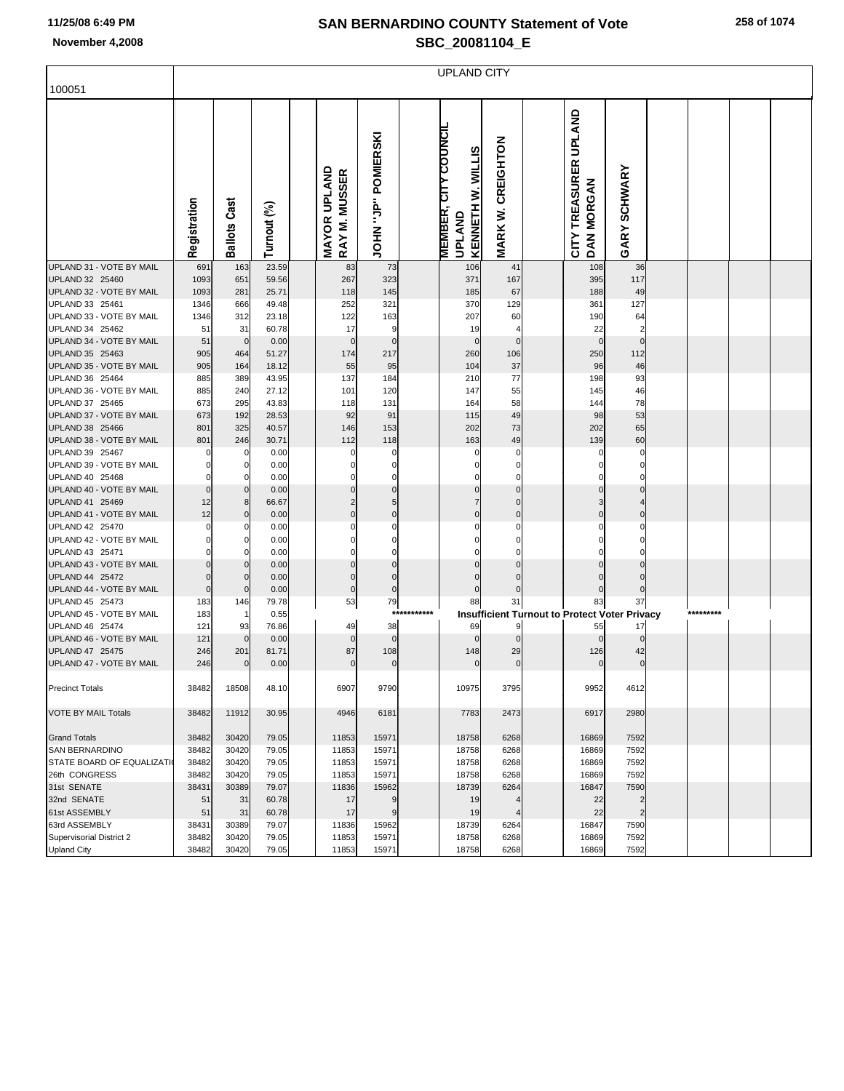|                                             |              |                     |                |                               |                     |             | <b>UPLAND CITY</b>                                                |                               |                                                      |                        |           |  |
|---------------------------------------------|--------------|---------------------|----------------|-------------------------------|---------------------|-------------|-------------------------------------------------------------------|-------------------------------|------------------------------------------------------|------------------------|-----------|--|
| 100051                                      |              |                     |                |                               |                     |             |                                                                   |                               |                                                      |                        |           |  |
|                                             | Registration | <b>Ballots Cast</b> | Turnout (%)    | MAYOR UPLAND<br>RAY M. MUSSER | JOHN "JP" POMIERSKI |             | <b>MEMBER, CITY COUNCIL</b><br>KENNETH W. WILLIS<br><b>UPLAND</b> | CREIGHTON<br>MARK W.          | CITY TREASURER UPLAND<br>DAN MORGAN                  | <b>GARY SCHWARY</b>    |           |  |
| UPLAND 31 - VOTE BY MAIL                    | 691          | 163                 | 23.59          | 83                            | 73                  |             | 106                                                               | 41                            | 108                                                  | 36                     |           |  |
| UPLAND 32 25460                             | 1093         | 651                 | 59.56          | 267                           | 323                 |             | 371                                                               | 167                           | 395                                                  | 117                    |           |  |
| UPLAND 32 - VOTE BY MAIL                    | 1093         | 281                 | 25.71          | 118                           | 145                 |             | 185                                                               | 67                            | 188                                                  | 49                     |           |  |
| UPLAND 33 25461<br>UPLAND 33 - VOTE BY MAIL | 1346<br>1346 | 666<br>312          | 49.48<br>23.18 | 252<br>122                    | 321<br>163          |             | 370<br>207                                                        | 129<br>60                     | 361<br>190                                           | 127<br>64              |           |  |
| UPLAND 34 25462                             | 51           | 31                  | 60.78          | 17                            | 9                   |             | 19                                                                | $\overline{4}$                | 22                                                   | $\overline{2}$         |           |  |
| UPLAND 34 - VOTE BY MAIL                    | 51           | $\mathbf 0$         | 0.00           | $\mathbf 0$                   | $\mathbf 0$         |             | $\Omega$                                                          | $\Omega$                      | $\mathbf 0$                                          | $\mathbf{0}$           |           |  |
| UPLAND 35 25463                             | 905          | 464                 | 51.27          | 174                           | 217                 |             | 260                                                               | 106                           | 250                                                  | 112                    |           |  |
| UPLAND 35 - VOTE BY MAIL                    | 905          | 164                 | 18.12          | 55                            | 95                  |             | 104                                                               | 37                            | 96                                                   | 46                     |           |  |
| UPLAND 36 25464                             | 885          | 389                 | 43.95          | 137                           | 184                 |             | 210                                                               | 77                            | 198                                                  | 93                     |           |  |
| UPLAND 36 - VOTE BY MAIL                    | 885          | 240                 | 27.12          | 101                           | 120                 |             | 147                                                               | 55                            | 145                                                  | 46                     |           |  |
| UPLAND 37 25465                             | 673          | 295                 | 43.83          | 118                           | 131                 |             | 164                                                               | 58                            | 144                                                  | 78                     |           |  |
| UPLAND 37 - VOTE BY MAIL                    | 673          | 192                 | 28.53          | 92                            | 91                  |             | 115                                                               | 49                            | 98                                                   | 53                     |           |  |
| UPLAND 38 25466                             | 801          | 325                 | 40.57          | 146                           | 153                 |             | 202                                                               | 73                            | 202                                                  | 65                     |           |  |
| UPLAND 38 - VOTE BY MAIL                    | 801          | 246                 | 30.71          | 112                           | 118                 |             | 163                                                               | 49                            | 139                                                  | 60                     |           |  |
| UPLAND 39 25467                             |              | 0                   | 0.00           |                               | 0                   |             | 0                                                                 | $\Omega$                      | C                                                    | $\Omega$               |           |  |
| UPLAND 39 - VOTE BY MAIL                    |              | 0<br>$\Omega$       | 0.00           |                               | 0<br>$\mathbf 0$    |             | O<br>$\Omega$                                                     | 0<br>$\Omega$                 |                                                      |                        |           |  |
| UPLAND 40 25468<br>UPLAND 40 - VOTE BY MAIL | O            | $\mathbf 0$         | 0.00<br>0.00   | 0                             | $\pmb{0}$           |             | $\Omega$                                                          | $\Omega$                      | $\Omega$                                             | $\mathbf 0$            |           |  |
| UPLAND 41 25469                             | 12           | 8                   | 66.67          | 2                             | 5                   |             | 7                                                                 | $\Omega$                      |                                                      |                        |           |  |
| UPLAND 41 - VOTE BY MAIL                    | 12           | $\mathbf 0$         | 0.00           | $\overline{0}$                | $\pmb{0}$           |             | $\Omega$                                                          | $\Omega$                      | $\Omega$                                             | $\Omega$               |           |  |
| UPLAND 42 25470                             |              | 0                   | 0.00           |                               | 0                   |             | 0                                                                 | C                             |                                                      |                        |           |  |
| UPLAND 42 - VOTE BY MAIL                    |              | $\Omega$            | 0.00           |                               | $\pmb{0}$           |             | 0                                                                 | 0                             |                                                      |                        |           |  |
| UPLAND 43 25471                             |              | $\Omega$            | 0.00           | O                             | $\mathbf 0$         |             | $\Omega$                                                          | C                             |                                                      |                        |           |  |
| UPLAND 43 - VOTE BY MAIL                    |              | $\mathbf 0$         | 0.00           | 0                             | $\pmb{0}$           |             | $\Omega$                                                          | 0                             |                                                      |                        |           |  |
| UPLAND 44 25472                             |              | $\mathbf 0$         | 0.00           | $\mathbf 0$                   | $\mathbf 0$         |             | $\Omega$                                                          | $\Omega$                      |                                                      |                        |           |  |
| UPLAND 44 - VOTE BY MAIL                    | O            | $\mathbf 0$         | 0.00           | $\mathbf 0$                   | $\pmb{0}$           |             | $\Omega$                                                          | $\Omega$                      |                                                      | $\mathbf 0$            |           |  |
| UPLAND 45 25473                             | 183          | 146                 | 79.78          | 53                            | 79                  |             | 88                                                                | 31                            | 83                                                   | 37                     |           |  |
| UPLAND 45 - VOTE BY MAIL                    | 183          | $\overline{1}$      | 0.55           |                               |                     | *********** |                                                                   |                               | <b>Insufficient Turnout to Protect Voter Privacy</b> |                        | ********* |  |
| UPLAND 46 25474<br>UPLAND 46 - VOTE BY MAIL | 121<br>121   | 93<br>$\mathbf 0$   | 76.86<br>0.00  | 49<br>0                       | 38<br>$\mathbf 0$   |             | 69<br>$\Omega$                                                    | 9<br>$\mathbf 0$              | 55<br>$\Omega$                                       | 17<br>$\mathbf 0$      |           |  |
| UPLAND 47 25475                             | 246          | 201                 | 81.71          | 87                            | 108                 |             | 148                                                               | 29                            | 126                                                  | 42                     |           |  |
| UPLAND 47 - VOTE BY MAIL                    | 246          | $\mathbf 0$         | 0.00           | $\Omega$                      | $\pmb{0}$           |             | $\Omega$                                                          | $\mathbf 0$                   | $\Omega$                                             | $\mathbf{0}$           |           |  |
| <b>Precinct Totals</b>                      | 38482        | 18508               | 48.10          | 6907                          | 9790                |             | 10975                                                             | 3795                          | 9952                                                 | 4612                   |           |  |
| <b>VOTE BY MAIL Totals</b>                  | 38482        | 11912               | 30.95          | 4946                          | 6181                |             | 7783                                                              | 2473                          | 6917                                                 | 2980                   |           |  |
| <b>Grand Totals</b>                         | 38482        | 30420               | 79.05          | 11853                         | 15971               |             | 18758                                                             | 6268                          | 16869                                                | 7592                   |           |  |
| <b>SAN BERNARDINO</b>                       | 38482        | 30420               | 79.05          | 11853                         | 15971               |             | 18758                                                             | 6268                          | 16869                                                | 7592                   |           |  |
| STATE BOARD OF EQUALIZATI                   | 38482        | 30420               | 79.05          | 11853                         | 15971               |             | 18758                                                             | 6268                          | 16869                                                | 7592                   |           |  |
| 26th CONGRESS                               | 38482        | 30420               | 79.05          | 11853                         | 15971               |             | 18758                                                             | 6268                          | 16869                                                | 7592                   |           |  |
| 31st SENATE                                 | 38431        | 30389               | 79.07          | 11836                         | 15962               |             | 18739                                                             | 6264                          | 16847                                                | 7590                   |           |  |
| 32nd SENATE                                 | 51           | 31                  | 60.78          | 17                            | 9                   |             | 19                                                                | 4                             | 22                                                   | $\overline{2}$         |           |  |
| 61st ASSEMBLY<br>63rd ASSEMBLY              | 51<br>38431  | 31<br>30389         | 60.78<br>79.07 | 17                            | 9<br>15962          |             | 19<br>18739                                                       | $\boldsymbol{\Delta}$<br>6264 | 22<br>16847                                          | $\overline{2}$<br>7590 |           |  |
| Supervisorial District 2                    | 38482        | 30420               | 79.05          | 11836<br>11853                | 15971               |             | 18758                                                             | 6268                          | 16869                                                | 7592                   |           |  |
| <b>Upland City</b>                          | 38482        | 30420               | 79.05          | 11853                         | 15971               |             | 18758                                                             | 6268                          | 16869                                                | 7592                   |           |  |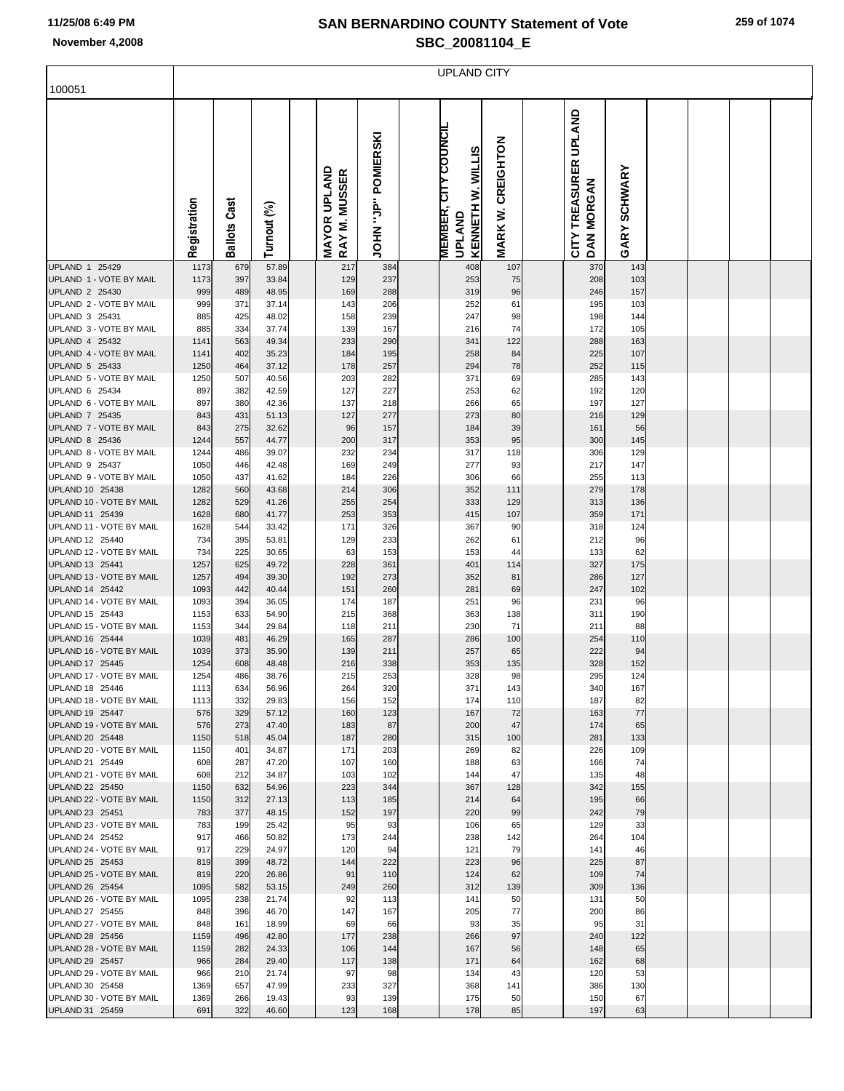r

| 100051                                           |              |              |                |                               |                                                  | <b>UPLAND CITY</b>                                                       |                      |                                            |                        |  |  |
|--------------------------------------------------|--------------|--------------|----------------|-------------------------------|--------------------------------------------------|--------------------------------------------------------------------------|----------------------|--------------------------------------------|------------------------|--|--|
|                                                  |              |              |                |                               |                                                  |                                                                          |                      |                                            |                        |  |  |
|                                                  | Registration | Ballots Cast | E<br>Turnout   | MAYOR UPLAND<br>RAY M. MUSSER | <b>POMIERSKI</b><br>׆֧֛֧ <sup>֚</sup><br>MS<br>S | <b>MEMBER, CITY COUNCIL</b><br><b>KENNETH W. WILLIS</b><br><b>UPLAND</b> | CREIGHTON<br>MARK W. | CITY TREASURER UPLAND<br><b>DAN MORGAN</b> | <b>SCHWARY</b><br>GARY |  |  |
| <b>UPLAND 1 25429</b><br>UPLAND 1 - VOTE BY MAIL | 1173         | 679          | 57.89          | 217                           | 384                                              | 408                                                                      | 107                  | 370                                        | 143                    |  |  |
| UPLAND 2 25430                                   | 1173<br>999  | 397<br>489   | 33.84<br>48.95 | 129<br>169                    | 237<br>288                                       | 253<br>319                                                               | 75<br>96             | 208<br>246                                 | 103<br>157             |  |  |
| UPLAND 2 - VOTE BY MAIL                          | 999          | 371          | 37.14          | 143                           | 206                                              | 252                                                                      | 61                   | 195                                        | 103                    |  |  |
| UPLAND 3 25431                                   | 885          | 425          | 48.02          | 158                           | 239                                              | 247                                                                      | 98                   | 198                                        | 144                    |  |  |
| UPLAND 3 - VOTE BY MAIL<br><b>UPLAND 4 25432</b> | 885<br>1141  | 334<br>563   | 37.74<br>49.34 | 139<br>233                    | 167<br>290                                       | 216<br>341                                                               | 74<br>122            | 172<br>288                                 | 105<br>163             |  |  |
| UPLAND 4 - VOTE BY MAIL                          | 1141         | 402          | 35.23          | 184                           | 195                                              | 258                                                                      | 84                   | 225                                        | 107                    |  |  |
| UPLAND 5 25433                                   | 1250         | 464          | 37.12          | 178                           | 257                                              | 294                                                                      | 78                   | 252                                        | 115                    |  |  |
| UPLAND 5 - VOTE BY MAIL                          | 1250         | 507          | 40.56          | 203                           | 282                                              | 371                                                                      | 69                   | 285                                        | 143                    |  |  |
| UPLAND 6 25434<br>UPLAND 6 - VOTE BY MAIL        | 897          | 382          | 42.59          | 127                           | 227                                              | 253                                                                      | 62                   | 192                                        | 120                    |  |  |
| UPLAND 7 25435                                   | 897<br>843   | 380<br>431   | 42.36<br>51.13 | 137<br>127                    | 218<br>277                                       | 266<br>273                                                               | 65<br>80             | 197<br>216                                 | 127<br>129             |  |  |
| UPLAND 7 - VOTE BY MAIL                          | 843          | 275          | 32.62          | 96                            | 157                                              | 184                                                                      | 39                   | 161                                        | 56                     |  |  |
| UPLAND 8 25436                                   | 1244         | 557          | 44.77          | 200                           | 317                                              | 353                                                                      | 95                   | 300                                        | 145                    |  |  |
| UPLAND 8 - VOTE BY MAIL                          | 1244         | 486          | 39.07          | 232                           | 234                                              | 317                                                                      | 118                  | 306                                        | 129                    |  |  |
| UPLAND 9 25437<br>UPLAND 9 - VOTE BY MAIL        | 1050<br>1050 | 446<br>437   | 42.48<br>41.62 | 169<br>184                    | 249<br>226                                       | 277<br>306                                                               | 93<br>66             | 217<br>255                                 | 147<br>113             |  |  |
| UPLAND 10 25438                                  | 1282         | 560          | 43.68          | 214                           | 306                                              | 352                                                                      | 111                  | 279                                        | 178                    |  |  |
| UPLAND 10 - VOTE BY MAIL                         | 1282         | 529          | 41.26          | 255                           | 254                                              | 333                                                                      | 129                  | 313                                        | 136                    |  |  |
| UPLAND 11 25439<br>UPLAND 11 - VOTE BY MAIL      | 1628         | 680          | 41.77          | 253                           | 353                                              | 415                                                                      | 107                  | 359                                        | 171                    |  |  |
| UPLAND 12 25440                                  | 1628<br>734  | 544<br>395   | 33.42<br>53.81 | 171<br>129                    | 326<br>233                                       | 367<br>262                                                               | 90<br>61             | 318<br>212                                 | 124<br>96              |  |  |
| UPLAND 12 - VOTE BY MAIL                         | 734          | 225          | 30.65          | 63                            | 153                                              | 153                                                                      | 44                   | 133                                        | 62                     |  |  |
| UPLAND 13 25441                                  | 1257         | 625          | 49.72          | 228                           | 361                                              | 401                                                                      | 114                  | 327                                        | 175                    |  |  |
| UPLAND 13 - VOTE BY MAIL<br>UPLAND 14 25442      | 1257<br>1093 | 494<br>442   | 39.30<br>40.44 | 192<br>151                    | 273<br>260                                       | 352<br>281                                                               | 81<br>69             | 286<br>247                                 | 127<br>102             |  |  |
| UPLAND 14 - VOTE BY MAIL                         | 1093         | 394          | 36.05          | 174                           | 187                                              | 251                                                                      | 96                   | 231                                        | 96                     |  |  |
| UPLAND 15 25443                                  | 1153         | 633          | 54.90          | 215                           | 368                                              | 363                                                                      | 138                  | 311                                        | 190                    |  |  |
| UPLAND 15 - VOTE BY MAIL                         | 1153         | 344          | 29.84          | 118                           | 211                                              | 230                                                                      | 71                   | 211                                        | 88                     |  |  |
| UPLAND 16 25444<br>UPLAND 16 - VOTE BY MAIL      | 1039<br>1039 | 481<br>373   | 46.29<br>35.90 | 165<br>139                    | 287<br>211                                       | 286<br>257                                                               | 100<br>65            | 254<br>222                                 | 110<br>94              |  |  |
| <b>UPLAND 17 25445</b>                           | 1254         | 608          | 48.48          | 216                           | 338                                              | 353                                                                      | 135                  | 328                                        | 152                    |  |  |
| UPLAND 17 - VOTE BY MAIL                         | 1254         | 486          | 38.76          | 215                           | 253                                              | 328                                                                      | 98                   | 295                                        | 124                    |  |  |
| UPLAND 18 25446                                  | 1113         | 634          | 56.96          | 264                           | 320                                              | 371                                                                      | 143                  | 340                                        | 167                    |  |  |
| UPLAND 18 - VOTE BY MAIL<br>UPLAND 19 25447      | 1113<br>576  | 332<br>329   | 29.83<br>57.12 | 156<br>160                    | 152<br>123                                       | 174<br>167                                                               | 110<br>72            | 187<br>163                                 | 82<br>77               |  |  |
| UPLAND 19 - VOTE BY MAIL                         | 576          | 273          | 47.40          | 183                           | 87                                               | 200                                                                      | 47                   | 174                                        | 65                     |  |  |
| UPLAND 20 25448                                  | 1150         | 518          | 45.04          | 187                           | 280                                              | 315                                                                      | 100                  | 281                                        | 133                    |  |  |
| UPLAND 20 - VOTE BY MAIL                         | 1150         | 401          | 34.87          | 171                           | 203                                              | 269                                                                      | 82                   | 226                                        | 109                    |  |  |
| UPLAND 21 25449<br>UPLAND 21 - VOTE BY MAIL      | 608<br>608   | 287<br>212   | 47.20<br>34.87 | 107<br>103                    | 160<br>102                                       | 188<br>144                                                               | 63<br>47             | 166<br>135                                 | 74<br>48               |  |  |
| UPLAND 22 25450                                  | 1150         | 632          | 54.96          | 223                           | 344                                              | 367                                                                      | 128                  | 342                                        | 155                    |  |  |
| UPLAND 22 - VOTE BY MAIL                         | 1150         | 312          | 27.13          | 113                           | 185                                              | 214                                                                      | 64                   | 195                                        | 66                     |  |  |
| UPLAND 23 25451                                  | 783          | 377          | 48.15          | 152                           | 197                                              | 220                                                                      | 99                   | 242                                        | 79                     |  |  |
| UPLAND 23 - VOTE BY MAIL<br>UPLAND 24 25452      | 783<br>917   | 199<br>466   | 25.42<br>50.82 | 95<br>173                     | 93<br>244                                        | 106<br>238                                                               | 65<br>142            | 129<br>264                                 | 33<br>104              |  |  |
| UPLAND 24 - VOTE BY MAIL                         | 917          | 229          | 24.97          | 120                           | 94                                               | 121                                                                      | 79                   | 141                                        | 46                     |  |  |
| UPLAND 25 25453                                  | 819          | 399          | 48.72          | 144                           | 222                                              | 223                                                                      | 96                   | 225                                        | 87                     |  |  |
| UPLAND 25 - VOTE BY MAIL                         | 819          | 220          | 26.86          | 91                            | 110                                              | 124                                                                      | 62                   | 109                                        | 74                     |  |  |
| UPLAND 26 25454<br>UPLAND 26 - VOTE BY MAIL      | 1095<br>1095 | 582<br>238   | 53.15<br>21.74 | 249<br>92                     | 260<br>113                                       | 312<br>141                                                               | 139<br>50            | 309<br>131                                 | 136<br>50              |  |  |
| UPLAND 27 25455                                  | 848          | 396          | 46.70          | 147                           | 167                                              | 205                                                                      | 77                   | 200                                        | 86                     |  |  |
| UPLAND 27 - VOTE BY MAIL                         | 848          | 161          | 18.99          | 69                            | 66                                               | 93                                                                       | 35                   | 95                                         | 31                     |  |  |
| UPLAND 28 25456                                  | 1159         | 496          | 42.80          | 177                           | 238                                              | 266                                                                      | 97                   | 240                                        | 122                    |  |  |
| UPLAND 28 - VOTE BY MAIL<br>UPLAND 29 25457      | 1159<br>966  | 282<br>284   | 24.33<br>29.40 | 106<br>117                    | 144<br>138                                       | 167<br>171                                                               | 56<br>64             | 148<br>162                                 | 65<br>68               |  |  |
| UPLAND 29 - VOTE BY MAIL                         | 966          | 210          | 21.74          | 97                            | 98                                               | 134                                                                      | 43                   | 120                                        | 53                     |  |  |
| UPLAND 30 25458                                  | 1369         | 657          | 47.99          | 233                           | 327                                              | 368                                                                      | 141                  | 386                                        | 130                    |  |  |
| UPLAND 30 - VOTE BY MAIL                         | 1369         | 266          | 19.43          | 93                            | 139                                              | 175                                                                      | 50                   | 150                                        | 67                     |  |  |
| UPLAND 31 25459                                  | 691          | 322          | 46.60          | 123                           | 168                                              | 178                                                                      | 85                   | 197                                        | 63                     |  |  |